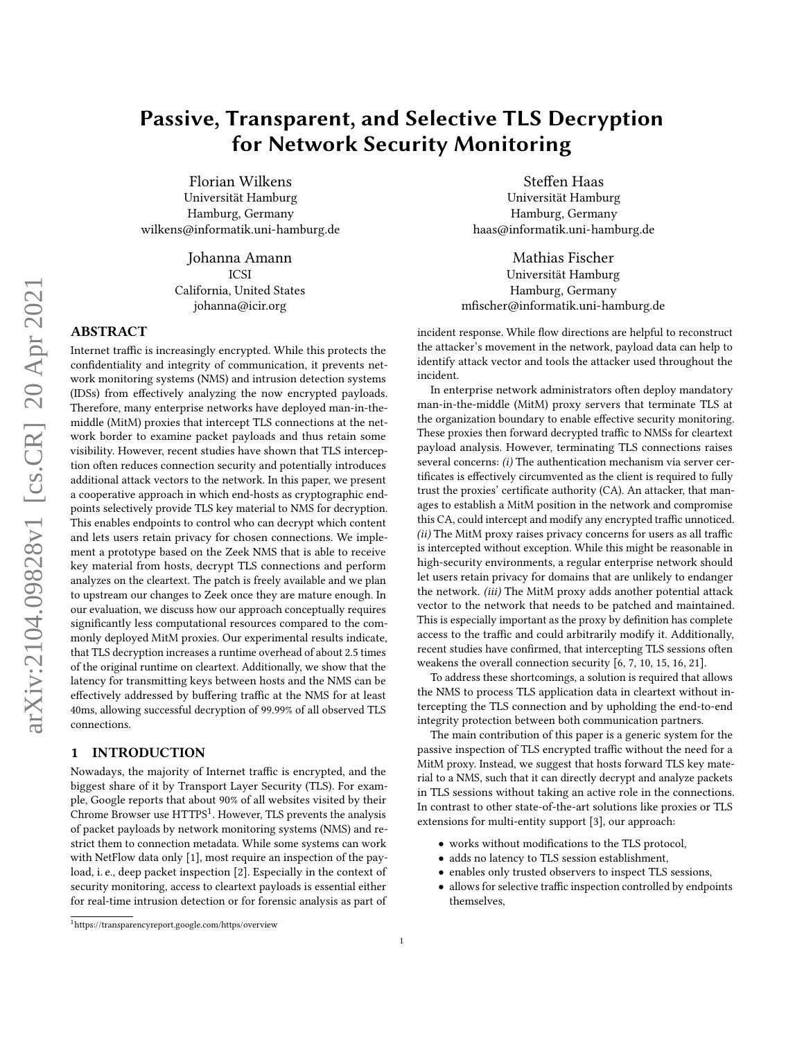Florian Wilkens Universität Hamburg Hamburg, Germany wilkens@informatik.uni-hamburg.de

> Johanna Amann ICSI California, United States johanna@icir.org

# ABSTRACT

Internet traffic is increasingly encrypted. While this protects the confidentiality and integrity of communication, it prevents network monitoring systems (NMS) and intrusion detection systems (IDSs) from effectively analyzing the now encrypted payloads. Therefore, many enterprise networks have deployed man-in-themiddle (MitM) proxies that intercept TLS connections at the network border to examine packet payloads and thus retain some visibility. However, recent studies have shown that TLS interception often reduces connection security and potentially introduces additional attack vectors to the network. In this paper, we present a cooperative approach in which end-hosts as cryptographic endpoints selectively provide TLS key material to NMS for decryption. This enables endpoints to control who can decrypt which content and lets users retain privacy for chosen connections. We implement a prototype based on the Zeek NMS that is able to receive key material from hosts, decrypt TLS connections and perform analyzes on the cleartext. The patch is freely available and we plan to upstream our changes to Zeek once they are mature enough. In our evaluation, we discuss how our approach conceptually requires significantly less computational resources compared to the commonly deployed MitM proxies. Our experimental results indicate, that TLS decryption increases a runtime overhead of about 2.5 times of the original runtime on cleartext. Additionally, we show that the latency for transmitting keys between hosts and the NMS can be effectively addressed by buffering traffic at the NMS for at least 40ms, allowing successful decryption of 99.99% of all observed TLS connections.

#### <span id="page-0-1"></span>1 INTRODUCTION

Nowadays, the majority of Internet traffic is encrypted, and the biggest share of it by Transport Layer Security (TLS). For example, Google reports that about 90% of all websites visited by their Chrome Browser use HTTPS<sup>[1](#page-0-0)</sup>. However, TLS prevents the analysis of packet payloads by network monitoring systems (NMS) and restrict them to connection metadata. While some systems can work with NetFlow data only [\[1\]](#page-10-0), most require an inspection of the payload, i. e., deep packet inspection [\[2\]](#page-10-1). Especially in the context of security monitoring, access to cleartext payloads is essential either for real-time intrusion detection or for forensic analysis as part of

Steffen Haas Universität Hamburg Hamburg, Germany haas@informatik.uni-hamburg.de

Mathias Fischer Universität Hamburg Hamburg, Germany mfischer@informatik.uni-hamburg.de

incident response. While flow directions are helpful to reconstruct the attacker's movement in the network, payload data can help to identify attack vector and tools the attacker used throughout the incident.

In enterprise network administrators often deploy mandatory man-in-the-middle (MitM) proxy servers that terminate TLS at the organization boundary to enable effective security monitoring. These proxies then forward decrypted traffic to NMSs for cleartext payload analysis. However, terminating TLS connections raises several concerns: (i) The authentication mechanism via server certificates is effectively circumvented as the client is required to fully trust the proxies' certificate authority (CA). An attacker, that manages to establish a MitM position in the network and compromise this CA, could intercept and modify any encrypted traffic unnoticed. (ii) The MitM proxy raises privacy concerns for users as all traffic is intercepted without exception. While this might be reasonable in high-security environments, a regular enterprise network should let users retain privacy for domains that are unlikely to endanger the network. (iii) The MitM proxy adds another potential attack vector to the network that needs to be patched and maintained. This is especially important as the proxy by definition has complete access to the traffic and could arbitrarily modify it. Additionally, recent studies have confirmed, that intercepting TLS sessions often weakens the overall connection security [\[6,](#page-10-2) [7,](#page-10-3) [10,](#page-10-4) [15,](#page-10-5) [16,](#page-10-6) [21\]](#page-10-7).

To address these shortcomings, a solution is required that allows the NMS to process TLS application data in cleartext without intercepting the TLS connection and by upholding the end-to-end integrity protection between both communication partners.

The main contribution of this paper is a generic system for the passive inspection of TLS encrypted traffic without the need for a MitM proxy. Instead, we suggest that hosts forward TLS key material to a NMS, such that it can directly decrypt and analyze packets in TLS sessions without taking an active role in the connections. In contrast to other state-of-the-art solutions like proxies or TLS extensions for multi-entity support [\[3\]](#page-10-8), our approach:

- works without modifications to the TLS protocol,
- adds no latency to TLS session establishment,
- enables only trusted observers to inspect TLS sessions,
- allows for selective traffic inspection controlled by endpoints themselves,

<span id="page-0-0"></span><sup>1</sup><https://transparencyreport.google.com/https/overview>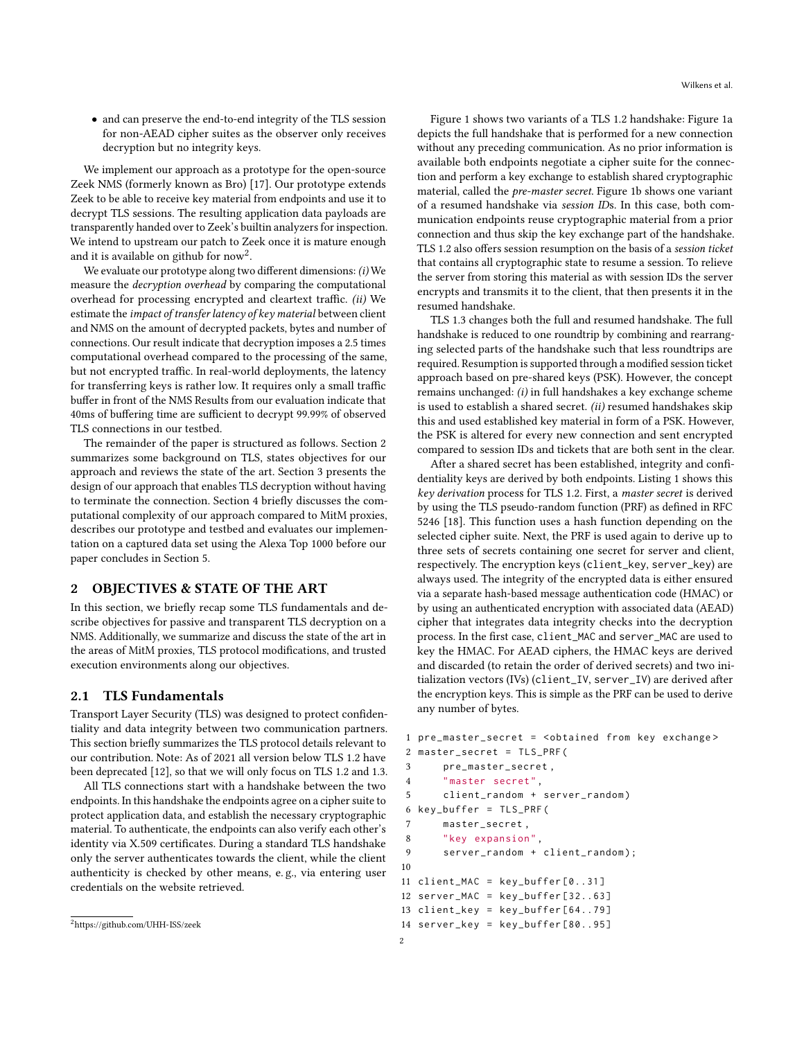• and can preserve the end-to-end integrity of the TLS session for non-AEAD cipher suites as the observer only receives decryption but no integrity keys.

We implement our approach as a prototype for the open-source Zeek NMS (formerly known as Bro) [\[17\]](#page-10-9). Our prototype extends Zeek to be able to receive key material from endpoints and use it to decrypt TLS sessions. The resulting application data payloads are transparently handed over to Zeek's builtin analyzers for inspection. We intend to upstream our patch to Zeek once it is mature enough and it is available on github for  $\mathrm{now}^2$  $\mathrm{now}^2$ .

We evaluate our prototype along two different dimensions: (i) We measure the decryption overhead by comparing the computational overhead for processing encrypted and cleartext traffic. (ii) We estimate the impact of transfer latency of key material between client and NMS on the amount of decrypted packets, bytes and number of connections. Our result indicate that decryption imposes a 2.5 times computational overhead compared to the processing of the same, but not encrypted traffic. In real-world deployments, the latency for transferring keys is rather low. It requires only a small traffic buffer in front of the NMS Results from our evaluation indicate that 40ms of buffering time are sufficient to decrypt 99.99% of observed TLS connections in our testbed.

The remainder of the paper is structured as follows. [Section 2](#page-1-1) summarizes some background on TLS, states objectives for our approach and reviews the state of the art. [Section 3](#page-4-0) presents the design of our approach that enables TLS decryption without having to terminate the connection. [Section 4](#page-5-0) briefly discusses the computational complexity of our approach compared to MitM proxies, describes our prototype and testbed and evaluates our implementation on a captured data set using the Alexa Top 1000 before our paper concludes in [Section 5.](#page-9-0)

#### <span id="page-1-1"></span>2 OBJECTIVES & STATE OF THE ART

In this section, we briefly recap some TLS fundamentals and describe objectives for passive and transparent TLS decryption on a NMS. Additionally, we summarize and discuss the state of the art in the areas of MitM proxies, TLS protocol modifications, and trusted execution environments along our objectives.

#### <span id="page-1-3"></span>2.1 TLS Fundamentals

Transport Layer Security (TLS) was designed to protect confidentiality and data integrity between two communication partners. This section briefly summarizes the TLS protocol details relevant to our contribution. Note: As of 2021 all version below TLS 1.2 have been deprecated [\[12\]](#page-10-10), so that we will only focus on TLS 1.2 and 1.3.

All TLS connections start with a handshake between the two endpoints. In this handshake the endpoints agree on a cipher suite to protect application data, and establish the necessary cryptographic material. To authenticate, the endpoints can also verify each other's identity via X.509 certificates. During a standard TLS handshake only the server authenticates towards the client, while the client authenticity is checked by other means, e. g., via entering user credentials on the website retrieved.

[Figure 1](#page-2-0) shows two variants of a TLS 1.2 handshake: [Figure 1a](#page-2-1) depicts the full handshake that is performed for a new connection without any preceding communication. As no prior information is available both endpoints negotiate a cipher suite for the connection and perform a key exchange to establish shared cryptographic material, called the pre-master secret. [Figure 1b](#page-2-2) shows one variant of a resumed handshake via session IDs. In this case, both communication endpoints reuse cryptographic material from a prior connection and thus skip the key exchange part of the handshake. TLS 1.2 also offers session resumption on the basis of a session ticket that contains all cryptographic state to resume a session. To relieve the server from storing this material as with session IDs the server encrypts and transmits it to the client, that then presents it in the resumed handshake.

TLS 1.3 changes both the full and resumed handshake. The full handshake is reduced to one roundtrip by combining and rearranging selected parts of the handshake such that less roundtrips are required. Resumption is supported through a modified session ticket approach based on pre-shared keys (PSK). However, the concept remains unchanged: (i) in full handshakes a key exchange scheme is used to establish a shared secret. (ii) resumed handshakes skip this and used established key material in form of a PSK. However, the PSK is altered for every new connection and sent encrypted compared to session IDs and tickets that are both sent in the clear.

After a shared secret has been established, integrity and confidentiality keys are derived by both endpoints. [Listing 1](#page-1-2) shows this key derivation process for TLS 1.2. First, a master secret is derived by using the TLS pseudo-random function (PRF) as defined in RFC 5246 [\[18\]](#page-10-11). This function uses a hash function depending on the selected cipher suite. Next, the PRF is used again to derive up to three sets of secrets containing one secret for server and client, respectively. The encryption keys (client\_key, server\_key) are always used. The integrity of the encrypted data is either ensured via a separate hash-based message authentication code (HMAC) or by using an authenticated encryption with associated data (AEAD) cipher that integrates data integrity checks into the decryption process. In the first case, client\_MAC and server\_MAC are used to key the HMAC. For AEAD ciphers, the HMAC keys are derived and discarded (to retain the order of derived secrets) and two initialization vectors (IVs) (client\_IV, server\_IV) are derived after the encryption keys. This is simple as the PRF can be used to derive any number of bytes.

```
1 pre_master_secret = < obtained from key exchange >
2 master_secret = TLS_PRF (
3 pre_master_secret ,
4 " master secret ",
5 client_random + server_random )
6 key_buffer = TLS_PRF (
7 master_secret ,
8 "key expansion ",
9 server_random + client_random ) ;
10
11 client_MAC = key_buffer [0..31]
12 server_MAC = key_buffer [32..63]
13 client_key = key_buffer [64..79]
14 server_key = key_buffer [80..95]
```
<span id="page-1-0"></span><sup>2</sup><https://github.com/UHH-ISS/zeek>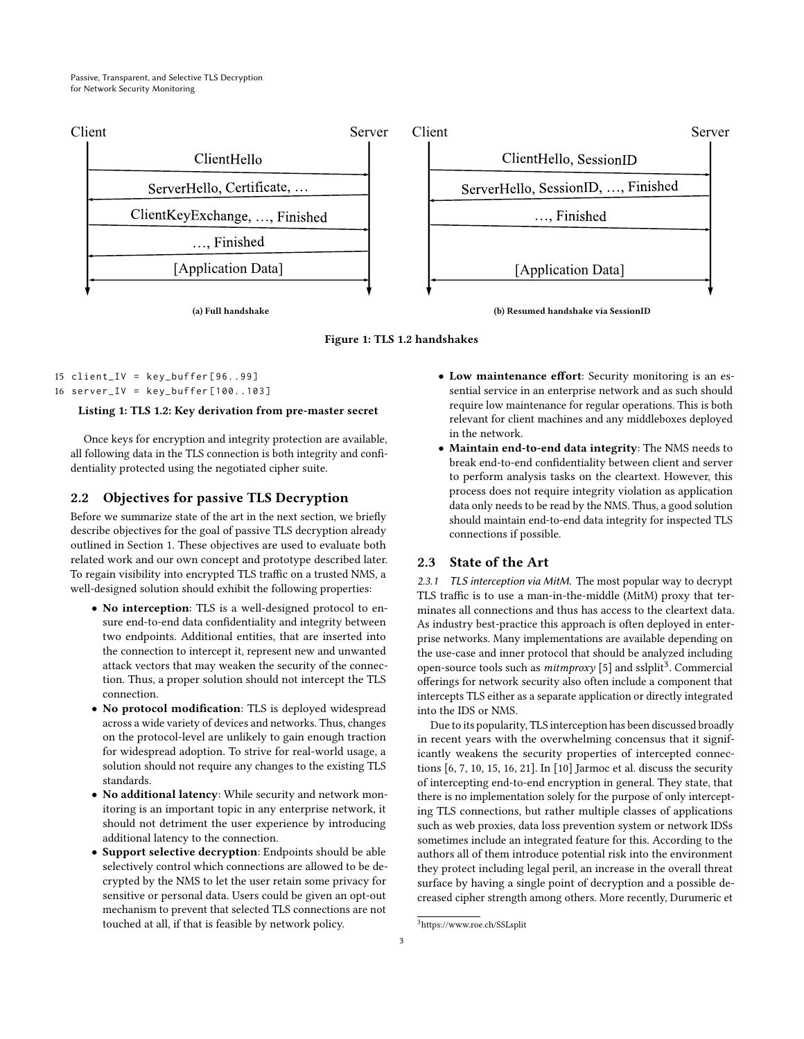<span id="page-2-1"></span><span id="page-2-0"></span>



15 client\_IV = key\_buffer [96..99] 16 server\_IV = key\_buffer [100..103]

#### Listing 1: TLS 1.2: Key derivation from pre-master secret

Once keys for encryption and integrity protection are available, all following data in the TLS connection is both integrity and confidentiality protected using the negotiated cipher suite.

#### 2.2 Objectives for passive TLS Decryption

Before we summarize state of the art in the next section, we briefly describe objectives for the goal of passive TLS decryption already outlined in [Section 1.](#page-0-1) These objectives are used to evaluate both related work and our own concept and prototype described later. To regain visibility into encrypted TLS traffic on a trusted NMS, a well-designed solution should exhibit the following properties:

- No interception: TLS is a well-designed protocol to ensure end-to-end data confidentiality and integrity between two endpoints. Additional entities, that are inserted into the connection to intercept it, represent new and unwanted attack vectors that may weaken the security of the connection. Thus, a proper solution should not intercept the TLS connection.
- No protocol modification: TLS is deployed widespread across a wide variety of devices and networks. Thus, changes on the protocol-level are unlikely to gain enough traction for widespread adoption. To strive for real-world usage, a solution should not require any changes to the existing TLS standards.
- No additional latency: While security and network monitoring is an important topic in any enterprise network, it should not detriment the user experience by introducing additional latency to the connection.
- Support selective decryption: Endpoints should be able selectively control which connections are allowed to be decrypted by the NMS to let the user retain some privacy for sensitive or personal data. Users could be given an opt-out mechanism to prevent that selected TLS connections are not touched at all, if that is feasible by network policy.
- <span id="page-2-2"></span>• Low maintenance effort: Security monitoring is an essential service in an enterprise network and as such should require low maintenance for regular operations. This is both relevant for client machines and any middleboxes deployed in the network.
- Maintain end-to-end data integrity: The NMS needs to break end-to-end confidentiality between client and server to perform analysis tasks on the cleartext. However, this process does not require integrity violation as application data only needs to be read by the NMS. Thus, a good solution should maintain end-to-end data integrity for inspected TLS connections if possible.

# 2.3 State of the Art

2.3.1 TLS interception via MitM. The most popular way to decrypt TLS traffic is to use a man-in-the-middle (MitM) proxy that terminates all connections and thus has access to the cleartext data. As industry best-practice this approach is often deployed in enterprise networks. Many implementations are available depending on the use-case and inner protocol that should be analyzed including open-source tools such as *mitmproxy* [\[5\]](#page-10-12) and sslplit<sup>[3](#page-2-3)</sup>. Commercial offerings for network security also often include a component that intercepts TLS either as a separate application or directly integrated into the IDS or NMS.

Due to its popularity, TLS interception has been discussed broadly in recent years with the overwhelming concensus that it significantly weakens the security properties of intercepted connections [\[6,](#page-10-2) [7,](#page-10-3) [10,](#page-10-4) [15,](#page-10-5) [16,](#page-10-6) [21\]](#page-10-7). In [\[10\]](#page-10-4) Jarmoc et al. discuss the security of intercepting end-to-end encryption in general. They state, that there is no implementation solely for the purpose of only intercepting TLS connections, but rather multiple classes of applications such as web proxies, data loss prevention system or network IDSs sometimes include an integrated feature for this. According to the authors all of them introduce potential risk into the environment they protect including legal peril, an increase in the overall threat surface by having a single point of decryption and a possible decreased cipher strength among others. More recently, Durumeric et

<span id="page-2-3"></span><sup>3</sup><https://www.roe.ch/SSLsplit>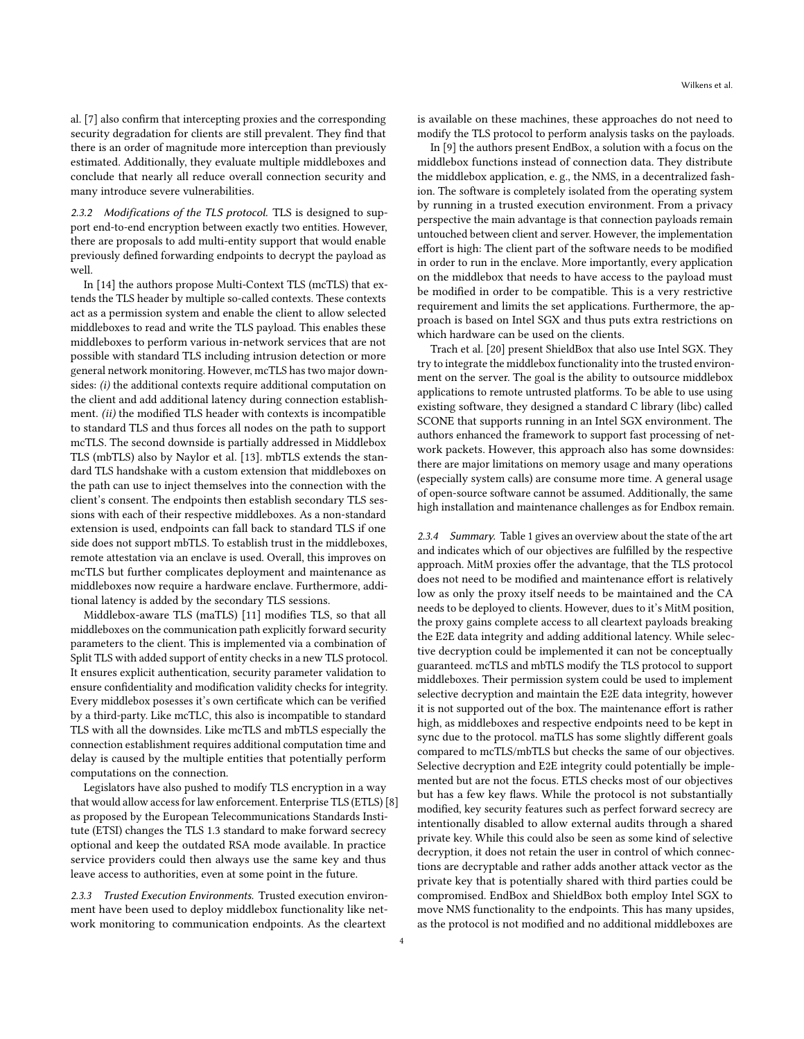al. [\[7\]](#page-10-3) also confirm that intercepting proxies and the corresponding security degradation for clients are still prevalent. They find that there is an order of magnitude more interception than previously estimated. Additionally, they evaluate multiple middleboxes and conclude that nearly all reduce overall connection security and many introduce severe vulnerabilities.

2.3.2 Modifications of the TLS protocol. TLS is designed to support end-to-end encryption between exactly two entities. However, there are proposals to add multi-entity support that would enable previously defined forwarding endpoints to decrypt the payload as well.

In [\[14\]](#page-10-13) the authors propose Multi-Context TLS (mcTLS) that extends the TLS header by multiple so-called contexts. These contexts act as a permission system and enable the client to allow selected middleboxes to read and write the TLS payload. This enables these middleboxes to perform various in-network services that are not possible with standard TLS including intrusion detection or more general network monitoring. However, mcTLS has two major downsides: (i) the additional contexts require additional computation on the client and add additional latency during connection establishment. (ii) the modified TLS header with contexts is incompatible to standard TLS and thus forces all nodes on the path to support mcTLS. The second downside is partially addressed in Middlebox TLS (mbTLS) also by Naylor et al. [\[13\]](#page-10-14). mbTLS extends the standard TLS handshake with a custom extension that middleboxes on the path can use to inject themselves into the connection with the client's consent. The endpoints then establish secondary TLS sessions with each of their respective middleboxes. As a non-standard extension is used, endpoints can fall back to standard TLS if one side does not support mbTLS. To establish trust in the middleboxes, remote attestation via an enclave is used. Overall, this improves on mcTLS but further complicates deployment and maintenance as middleboxes now require a hardware enclave. Furthermore, additional latency is added by the secondary TLS sessions.

Middlebox-aware TLS (maTLS) [\[11\]](#page-10-15) modifies TLS, so that all middleboxes on the communication path explicitly forward security parameters to the client. This is implemented via a combination of Split TLS with added support of entity checks in a new TLS protocol. It ensures explicit authentication, security parameter validation to ensure confidentiality and modification validity checks for integrity. Every middlebox posesses it's own certificate which can be verified by a third-party. Like mcTLC, this also is incompatible to standard TLS with all the downsides. Like mcTLS and mbTLS especially the connection establishment requires additional computation time and delay is caused by the multiple entities that potentially perform computations on the connection.

Legislators have also pushed to modify TLS encryption in a way that would allow access for law enforcement. Enterprise TLS (ETLS) [\[8\]](#page-10-16) as proposed by the European Telecommunications Standards Institute (ETSI) changes the TLS 1.3 standard to make forward secrecy optional and keep the outdated RSA mode available. In practice service providers could then always use the same key and thus leave access to authorities, even at some point in the future.

2.3.3 Trusted Execution Environments. Trusted execution environment have been used to deploy middlebox functionality like network monitoring to communication endpoints. As the cleartext

is available on these machines, these approaches do not need to modify the TLS protocol to perform analysis tasks on the payloads.

In [\[9\]](#page-10-17) the authors present EndBox, a solution with a focus on the middlebox functions instead of connection data. They distribute the middlebox application, e. g., the NMS, in a decentralized fashion. The software is completely isolated from the operating system by running in a trusted execution environment. From a privacy perspective the main advantage is that connection payloads remain untouched between client and server. However, the implementation effort is high: The client part of the software needs to be modified in order to run in the enclave. More importantly, every application on the middlebox that needs to have access to the payload must be modified in order to be compatible. This is a very restrictive requirement and limits the set applications. Furthermore, the approach is based on Intel SGX and thus puts extra restrictions on which hardware can be used on the clients.

Trach et al. [\[20\]](#page-10-18) present ShieldBox that also use Intel SGX. They try to integrate the middlebox functionality into the trusted environment on the server. The goal is the ability to outsource middlebox applications to remote untrusted platforms. To be able to use using existing software, they designed a standard C library (libc) called SCONE that supports running in an Intel SGX environment. The authors enhanced the framework to support fast processing of network packets. However, this approach also has some downsides: there are major limitations on memory usage and many operations (especially system calls) are consume more time. A general usage of open-source software cannot be assumed. Additionally, the same high installation and maintenance challenges as for Endbox remain.

2.3.4 Summary. [Table 1](#page-4-1) gives an overview about the state of the art and indicates which of our objectives are fulfilled by the respective approach. MitM proxies offer the advantage, that the TLS protocol does not need to be modified and maintenance effort is relatively low as only the proxy itself needs to be maintained and the CA needs to be deployed to clients. However, dues to it's MitM position, the proxy gains complete access to all cleartext payloads breaking the E2E data integrity and adding additional latency. While selective decryption could be implemented it can not be conceptually guaranteed. mcTLS and mbTLS modify the TLS protocol to support middleboxes. Their permission system could be used to implement selective decryption and maintain the E2E data integrity, however it is not supported out of the box. The maintenance effort is rather high, as middleboxes and respective endpoints need to be kept in sync due to the protocol. maTLS has some slightly different goals compared to mcTLS/mbTLS but checks the same of our objectives. Selective decryption and E2E integrity could potentially be implemented but are not the focus. ETLS checks most of our objectives but has a few key flaws. While the protocol is not substantially modified, key security features such as perfect forward secrecy are intentionally disabled to allow external audits through a shared private key. While this could also be seen as some kind of selective decryption, it does not retain the user in control of which connections are decryptable and rather adds another attack vector as the private key that is potentially shared with third parties could be compromised. EndBox and ShieldBox both employ Intel SGX to move NMS functionality to the endpoints. This has many upsides, as the protocol is not modified and no additional middleboxes are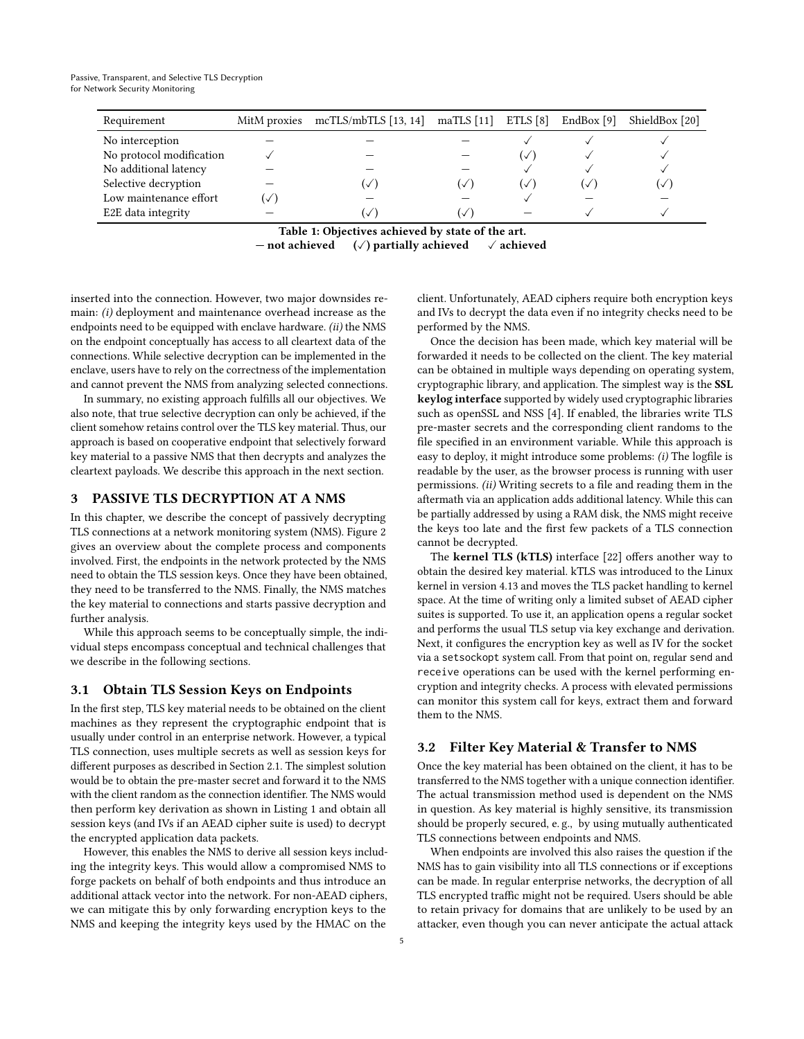<span id="page-4-1"></span>

| Requirement              | MitM proxies mcTLS/mbTLS [13, 14] maTLS [11] ETLS [8] EndBox [9] |   |              |        | ShieldBox [20] |
|--------------------------|------------------------------------------------------------------|---|--------------|--------|----------------|
| No interception          |                                                                  |   |              |        |                |
| No protocol modification |                                                                  |   | $\checkmark$ |        |                |
| No additional latency    |                                                                  |   |              |        |                |
| Selective decryption     | ✓                                                                | ✓ | $\checkmark$ | $\vee$ | (✓             |
| Low maintenance effort   |                                                                  |   |              |        |                |
| E2E data integrity       |                                                                  | ✓ |              |        |                |

Table 1: Objectives achieved by state of the art. — not achieved  $(\sqrt{})$  partially achieved  $\sqrt{}$  achieved

inserted into the connection. However, two major downsides remain: (i) deployment and maintenance overhead increase as the endpoints need to be equipped with enclave hardware. (ii) the NMS on the endpoint conceptually has access to all cleartext data of the connections. While selective decryption can be implemented in the enclave, users have to rely on the correctness of the implementation and cannot prevent the NMS from analyzing selected connections.

In summary, no existing approach fulfills all our objectives. We also note, that true selective decryption can only be achieved, if the client somehow retains control over the TLS key material. Thus, our approach is based on cooperative endpoint that selectively forward key material to a passive NMS that then decrypts and analyzes the cleartext payloads. We describe this approach in the next section.

## <span id="page-4-0"></span>3 PASSIVE TLS DECRYPTION AT A NMS

In this chapter, we describe the concept of passively decrypting TLS connections at a network monitoring system (NMS). [Figure 2](#page-5-1) gives an overview about the complete process and components involved. First, the endpoints in the network protected by the NMS need to obtain the TLS session keys. Once they have been obtained, they need to be transferred to the NMS. Finally, the NMS matches the key material to connections and starts passive decryption and further analysis.

While this approach seems to be conceptually simple, the individual steps encompass conceptual and technical challenges that we describe in the following sections.

#### <span id="page-4-2"></span>3.1 Obtain TLS Session Keys on Endpoints

In the first step, TLS key material needs to be obtained on the client machines as they represent the cryptographic endpoint that is usually under control in an enterprise network. However, a typical TLS connection, uses multiple secrets as well as session keys for different purposes as described in [Section 2.1.](#page-1-3) The simplest solution would be to obtain the pre-master secret and forward it to the NMS with the client random as the connection identifier. The NMS would then perform key derivation as shown in [Listing 1](#page-1-2) and obtain all session keys (and IVs if an AEAD cipher suite is used) to decrypt the encrypted application data packets.

However, this enables the NMS to derive all session keys including the integrity keys. This would allow a compromised NMS to forge packets on behalf of both endpoints and thus introduce an additional attack vector into the network. For non-AEAD ciphers, we can mitigate this by only forwarding encryption keys to the NMS and keeping the integrity keys used by the HMAC on the

client. Unfortunately, AEAD ciphers require both encryption keys and IVs to decrypt the data even if no integrity checks need to be performed by the NMS.

Once the decision has been made, which key material will be forwarded it needs to be collected on the client. The key material can be obtained in multiple ways depending on operating system, cryptographic library, and application. The simplest way is the SSL keylog interface supported by widely used cryptographic libraries such as openSSL and NSS [\[4\]](#page-10-19). If enabled, the libraries write TLS pre-master secrets and the corresponding client randoms to the file specified in an environment variable. While this approach is easy to deploy, it might introduce some problems: (i) The logfile is readable by the user, as the browser process is running with user permissions. (ii) Writing secrets to a file and reading them in the aftermath via an application adds additional latency. While this can be partially addressed by using a RAM disk, the NMS might receive the keys too late and the first few packets of a TLS connection cannot be decrypted.

The kernel TLS (kTLS) interface [\[22\]](#page-10-20) offers another way to obtain the desired key material. kTLS was introduced to the Linux kernel in version 4.13 and moves the TLS packet handling to kernel space. At the time of writing only a limited subset of AEAD cipher suites is supported. To use it, an application opens a regular socket and performs the usual TLS setup via key exchange and derivation. Next, it configures the encryption key as well as IV for the socket via a setsockopt system call. From that point on, regular send and receive operations can be used with the kernel performing encryption and integrity checks. A process with elevated permissions can monitor this system call for keys, extract them and forward them to the NMS.

#### 3.2 Filter Key Material & Transfer to NMS

Once the key material has been obtained on the client, it has to be transferred to the NMS together with a unique connection identifier. The actual transmission method used is dependent on the NMS in question. As key material is highly sensitive, its transmission should be properly secured, e. g., by using mutually authenticated TLS connections between endpoints and NMS.

When endpoints are involved this also raises the question if the NMS has to gain visibility into all TLS connections or if exceptions can be made. In regular enterprise networks, the decryption of all TLS encrypted traffic might not be required. Users should be able to retain privacy for domains that are unlikely to be used by an attacker, even though you can never anticipate the actual attack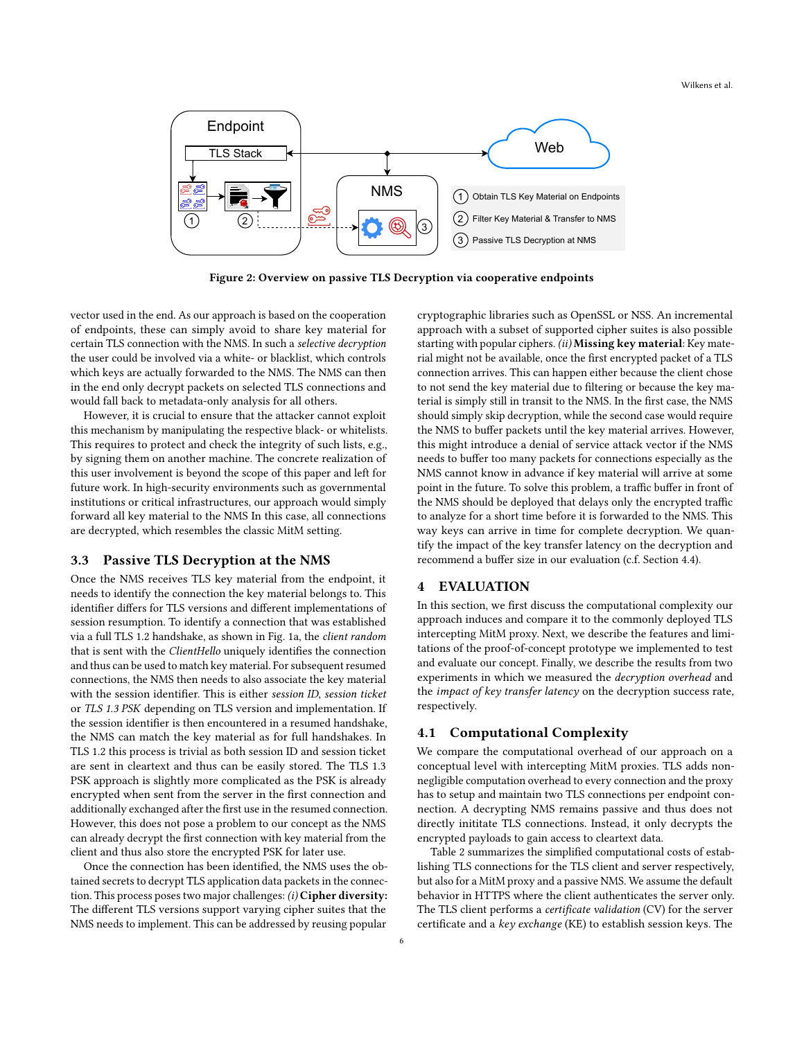Wilkens et al.

<span id="page-5-1"></span>

Figure 2: Overview on passive TLS Decryption via cooperative endpoints

vector used in the end. As our approach is based on the cooperation of endpoints, these can simply avoid to share key material for certain TLS connection with the NMS. In such a selective decryption the user could be involved via a white- or blacklist, which controls which keys are actually forwarded to the NMS. The NMS can then in the end only decrypt packets on selected TLS connections and would fall back to metadata-only analysis for all others.

However, it is crucial to ensure that the attacker cannot exploit this mechanism by manipulating the respective black- or whitelists. This requires to protect and check the integrity of such lists, e.g., by signing them on another machine. The concrete realization of this user involvement is beyond the scope of this paper and left for future work. In high-security environments such as governmental institutions or critical infrastructures, our approach would simply forward all key material to the NMS In this case, all connections are decrypted, which resembles the classic MitM setting.

#### 3.3 Passive TLS Decryption at the NMS

Once the NMS receives TLS key material from the endpoint, it needs to identify the connection the key material belongs to. This identifier differs for TLS versions and different implementations of session resumption. To identify a connection that was established via a full TLS 1.2 handshake, as shown in [Fig. 1a,](#page-2-1) the client random that is sent with the ClientHello uniquely identifies the connection and thus can be used to match key material. For subsequent resumed connections, the NMS then needs to also associate the key material with the session identifier. This is either session ID, session ticket or TLS 1.3 PSK depending on TLS version and implementation. If the session identifier is then encountered in a resumed handshake, the NMS can match the key material as for full handshakes. In TLS 1.2 this process is trivial as both session ID and session ticket are sent in cleartext and thus can be easily stored. The TLS 1.3 PSK approach is slightly more complicated as the PSK is already encrypted when sent from the server in the first connection and additionally exchanged after the first use in the resumed connection. However, this does not pose a problem to our concept as the NMS can already decrypt the first connection with key material from the client and thus also store the encrypted PSK for later use.

Once the connection has been identified, the NMS uses the obtained secrets to decrypt TLS application data packets in the connection. This process poses two major challenges: (i) Cipher diversity: The different TLS versions support varying cipher suites that the NMS needs to implement. This can be addressed by reusing popular

cryptographic libraries such as OpenSSL or NSS. An incremental approach with a subset of supported cipher suites is also possible starting with popular ciphers. (ii) Missing key material: Key material might not be available, once the first encrypted packet of a TLS connection arrives. This can happen either because the client chose to not send the key material due to filtering or because the key material is simply still in transit to the NMS. In the first case, the NMS should simply skip decryption, while the second case would require the NMS to buffer packets until the key material arrives. However, this might introduce a denial of service attack vector if the NMS needs to buffer too many packets for connections especially as the NMS cannot know in advance if key material will arrive at some point in the future. To solve this problem, a traffic buffer in front of the NMS should be deployed that delays only the encrypted traffic to analyze for a short time before it is forwarded to the NMS. This way keys can arrive in time for complete decryption. We quantify the impact of the key transfer latency on the decryption and recommend a buffer size in our evaluation (c.f. [Section 4.4\)](#page-8-0).

#### <span id="page-5-0"></span>4 EVALUATION

In this section, we first discuss the computational complexity our approach induces and compare it to the commonly deployed TLS intercepting MitM proxy. Next, we describe the features and limitations of the proof-of-concept prototype we implemented to test and evaluate our concept. Finally, we describe the results from two experiments in which we measured the decryption overhead and the *impact of key transfer latency* on the decryption success rate, respectively.

#### <span id="page-5-2"></span>4.1 Computational Complexity

We compare the computational overhead of our approach on a conceptual level with intercepting MitM proxies. TLS adds nonnegligible computation overhead to every connection and the proxy has to setup and maintain two TLS connections per endpoint connection. A decrypting NMS remains passive and thus does not directly inititate TLS connections. Instead, it only decrypts the encrypted payloads to gain access to cleartext data.

[Table 2](#page-6-0) summarizes the simplified computational costs of establishing TLS connections for the TLS client and server respectively, but also for a MitM proxy and a passive NMS. We assume the default behavior in HTTPS where the client authenticates the server only. The TLS client performs a certificate validation (CV) for the server certificate and a key exchange (KE) to establish session keys. The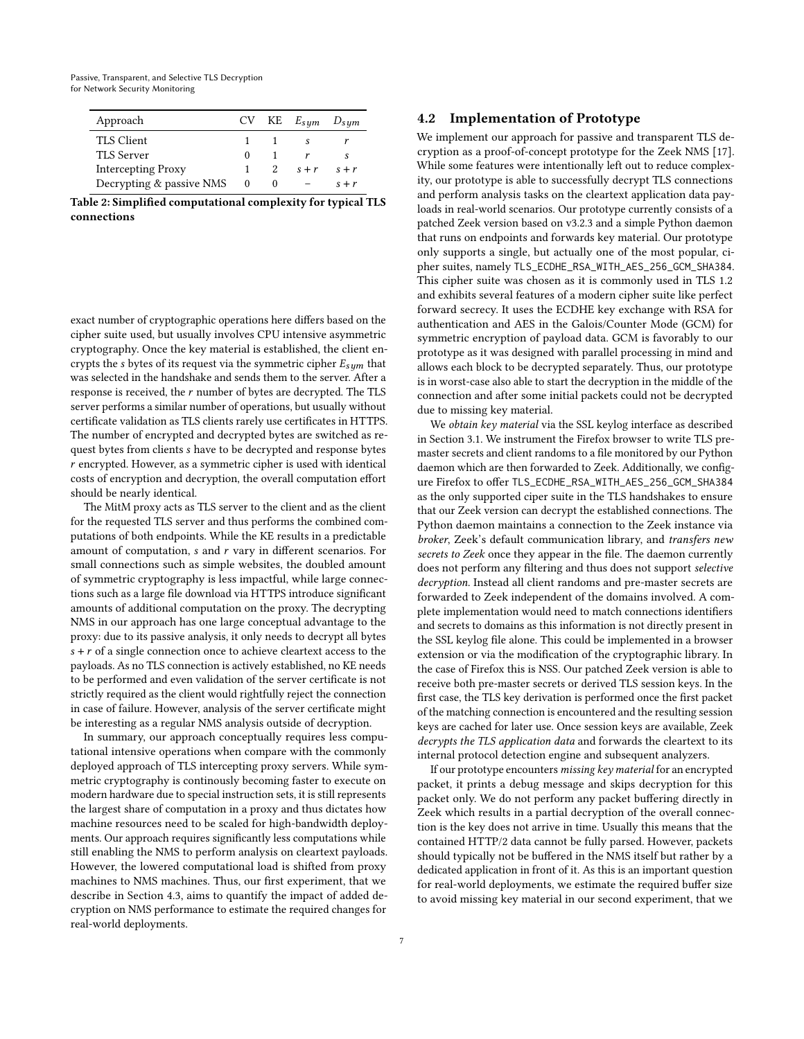<span id="page-6-0"></span>

| Approach                  |        | $CV$ KE $E_{sym}$ $D_{sym}$ |         |
|---------------------------|--------|-----------------------------|---------|
| TLS Client                |        |                             |         |
| TLS Server                | $_{0}$ |                             |         |
| <b>Intercepting Proxy</b> |        | $s + r$                     | $s + r$ |
| Decrypting & passive NMS  |        |                             | $s + r$ |

Table 2: Simplified computational complexity for typical TLS connections

exact number of cryptographic operations here differs based on the cipher suite used, but usually involves CPU intensive asymmetric cryptography. Once the key material is established, the client encrypts the *s* bytes of its request via the symmetric cipher  $E_{sum}$  that was selected in the handshake and sends them to the server. After a response is received, the  $r$  number of bytes are decrypted. The TLS server performs a similar number of operations, but usually without certificate validation as TLS clients rarely use certificates in HTTPS. The number of encrypted and decrypted bytes are switched as request bytes from clients have to be decrypted and response bytes  $r$  encrypted. However, as a symmetric cipher is used with identical costs of encryption and decryption, the overall computation effort should be nearly identical.

The MitM proxy acts as TLS server to the client and as the client for the requested TLS server and thus performs the combined computations of both endpoints. While the KE results in a predictable amount of computation,  $s$  and  $r$  vary in different scenarios. For small connections such as simple websites, the doubled amount of symmetric cryptography is less impactful, while large connections such as a large file download via HTTPS introduce significant amounts of additional computation on the proxy. The decrypting NMS in our approach has one large conceptual advantage to the proxy: due to its passive analysis, it only needs to decrypt all bytes  $s + r$  of a single connection once to achieve cleartext access to the payloads. As no TLS connection is actively established, no KE needs to be performed and even validation of the server certificate is not strictly required as the client would rightfully reject the connection in case of failure. However, analysis of the server certificate might be interesting as a regular NMS analysis outside of decryption.

In summary, our approach conceptually requires less computational intensive operations when compare with the commonly deployed approach of TLS intercepting proxy servers. While symmetric cryptography is continously becoming faster to execute on modern hardware due to special instruction sets, it is still represents the largest share of computation in a proxy and thus dictates how machine resources need to be scaled for high-bandwidth deployments. Our approach requires significantly less computations while still enabling the NMS to perform analysis on cleartext payloads. However, the lowered computational load is shifted from proxy machines to NMS machines. Thus, our first experiment, that we describe in [Section 4.3,](#page-7-0) aims to quantify the impact of added decryption on NMS performance to estimate the required changes for real-world deployments.

#### 4.2 Implementation of Prototype

We implement our approach for passive and transparent TLS decryption as a proof-of-concept prototype for the Zeek NMS [\[17\]](#page-10-9). While some features were intentionally left out to reduce complexity, our prototype is able to successfully decrypt TLS connections and perform analysis tasks on the cleartext application data payloads in real-world scenarios. Our prototype currently consists of a patched Zeek version based on v3.2.3 and a simple Python daemon that runs on endpoints and forwards key material. Our prototype only supports a single, but actually one of the most popular, cipher suites, namely TLS\_ECDHE\_RSA\_WITH\_AES\_256\_GCM\_SHA384. This cipher suite was chosen as it is commonly used in TLS 1.2 and exhibits several features of a modern cipher suite like perfect forward secrecy. It uses the ECDHE key exchange with RSA for authentication and AES in the Galois/Counter Mode (GCM) for symmetric encryption of payload data. GCM is favorably to our prototype as it was designed with parallel processing in mind and allows each block to be decrypted separately. Thus, our prototype is in worst-case also able to start the decryption in the middle of the connection and after some initial packets could not be decrypted due to missing key material.

We obtain key material via the SSL keylog interface as described in [Section 3.1.](#page-4-2) We instrument the Firefox browser to write TLS premaster secrets and client randoms to a file monitored by our Python daemon which are then forwarded to Zeek. Additionally, we configure Firefox to offer TLS\_ECDHE\_RSA\_WITH\_AES\_256\_GCM\_SHA384 as the only supported ciper suite in the TLS handshakes to ensure that our Zeek version can decrypt the established connections. The Python daemon maintains a connection to the Zeek instance via broker, Zeek's default communication library, and transfers new secrets to Zeek once they appear in the file. The daemon currently does not perform any filtering and thus does not support selective decryption. Instead all client randoms and pre-master secrets are forwarded to Zeek independent of the domains involved. A complete implementation would need to match connections identifiers and secrets to domains as this information is not directly present in the SSL keylog file alone. This could be implemented in a browser extension or via the modification of the cryptographic library. In the case of Firefox this is NSS. Our patched Zeek version is able to receive both pre-master secrets or derived TLS session keys. In the first case, the TLS key derivation is performed once the first packet of the matching connection is encountered and the resulting session keys are cached for later use. Once session keys are available, Zeek decrypts the TLS application data and forwards the cleartext to its internal protocol detection engine and subsequent analyzers.

If our prototype encounters missing key material for an encrypted packet, it prints a debug message and skips decryption for this packet only. We do not perform any packet buffering directly in Zeek which results in a partial decryption of the overall connection is the key does not arrive in time. Usually this means that the contained HTTP/2 data cannot be fully parsed. However, packets should typically not be buffered in the NMS itself but rather by a dedicated application in front of it. As this is an important question for real-world deployments, we estimate the required buffer size to avoid missing key material in our second experiment, that we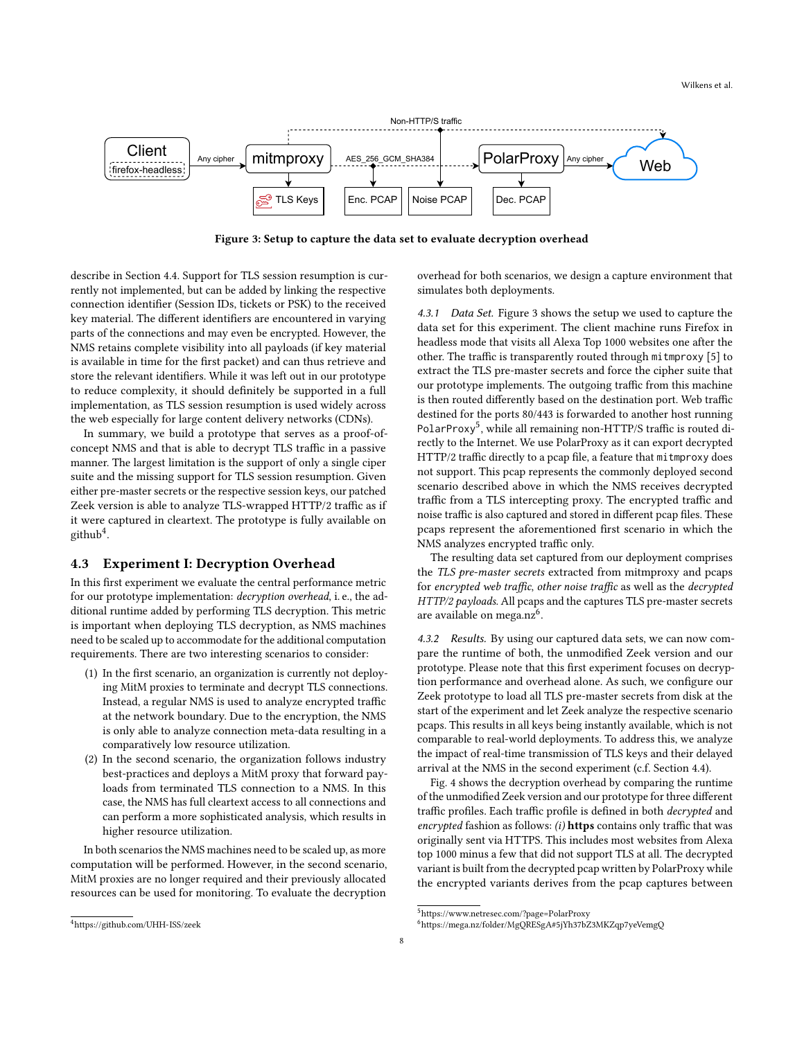<span id="page-7-2"></span>

Figure 3: Setup to capture the data set to evaluate decryption overhead

describe in [Section 4.4.](#page-8-0) Support for TLS session resumption is currently not implemented, but can be added by linking the respective connection identifier (Session IDs, tickets or PSK) to the received key material. The different identifiers are encountered in varying parts of the connections and may even be encrypted. However, the NMS retains complete visibility into all payloads (if key material is available in time for the first packet) and can thus retrieve and store the relevant identifiers. While it was left out in our prototype to reduce complexity, it should definitely be supported in a full implementation, as TLS session resumption is used widely across the web especially for large content delivery networks (CDNs).

In summary, we build a prototype that serves as a proof-ofconcept NMS and that is able to decrypt TLS traffic in a passive manner. The largest limitation is the support of only a single ciper suite and the missing support for TLS session resumption. Given either pre-master secrets or the respective session keys, our patched Zeek version is able to analyze TLS-wrapped HTTP/2 traffic as if it were captured in cleartext. The prototype is fully available on  $g$ ithub<sup>[4](#page-7-1)</sup>.

#### <span id="page-7-0"></span>4.3 Experiment I: Decryption Overhead

In this first experiment we evaluate the central performance metric for our prototype implementation: decryption overhead, i. e., the additional runtime added by performing TLS decryption. This metric is important when deploying TLS decryption, as NMS machines need to be scaled up to accommodate for the additional computation requirements. There are two interesting scenarios to consider:

- (1) In the first scenario, an organization is currently not deploying MitM proxies to terminate and decrypt TLS connections. Instead, a regular NMS is used to analyze encrypted traffic at the network boundary. Due to the encryption, the NMS is only able to analyze connection meta-data resulting in a comparatively low resource utilization.
- (2) In the second scenario, the organization follows industry best-practices and deploys a MitM proxy that forward payloads from terminated TLS connection to a NMS. In this case, the NMS has full cleartext access to all connections and can perform a more sophisticated analysis, which results in higher resource utilization.

In both scenarios the NMS machines need to be scaled up, as more computation will be performed. However, in the second scenario, MitM proxies are no longer required and their previously allocated resources can be used for monitoring. To evaluate the decryption

<span id="page-7-1"></span><sup>4</sup><https://github.com/UHH-ISS/zeek>

overhead for both scenarios, we design a capture environment that simulates both deployments.

4.3.1 Data Set. [Figure 3](#page-7-2) shows the setup we used to capture the data set for this experiment. The client machine runs Firefox in headless mode that visits all Alexa Top 1000 websites one after the other. The traffic is transparently routed through mitmproxy [\[5\]](#page-10-12) to extract the TLS pre-master secrets and force the cipher suite that our prototype implements. The outgoing traffic from this machine is then routed differently based on the destination port. Web traffic destined for the ports 80/443 is forwarded to another host running PolarProxy<sup>[5](#page-7-3)</sup>, while all remaining non-HTTP/S traffic is routed directly to the Internet. We use PolarProxy as it can export decrypted HTTP/2 traffic directly to a pcap file, a feature that mitmproxy does not support. This pcap represents the commonly deployed second scenario described above in which the NMS receives decrypted traffic from a TLS intercepting proxy. The encrypted traffic and noise traffic is also captured and stored in different pcap files. These pcaps represent the aforementioned first scenario in which the NMS analyzes encrypted traffic only.

The resulting data set captured from our deployment comprises the TLS pre-master secrets extracted from mitmproxy and pcaps for encrypted web traffic, other noise traffic as well as the decrypted HTTP/2 payloads. All pcaps and the captures TLS pre-master secrets are available on mega.nz<sup>[6](#page-7-4)</sup>.

4.3.2 Results. By using our captured data sets, we can now compare the runtime of both, the unmodified Zeek version and our prototype. Please note that this first experiment focuses on decryption performance and overhead alone. As such, we configure our Zeek prototype to load all TLS pre-master secrets from disk at the start of the experiment and let Zeek analyze the respective scenario pcaps. This results in all keys being instantly available, which is not comparable to real-world deployments. To address this, we analyze the impact of real-time transmission of TLS keys and their delayed arrival at the NMS in the second experiment (c.f. [Section 4.4\)](#page-8-0).

[Fig. 4](#page-8-1) shows the decryption overhead by comparing the runtime of the unmodified Zeek version and our prototype for three different traffic profiles. Each traffic profile is defined in both decrypted and encrypted fashion as follows:  $(i)$  https contains only traffic that was originally sent via HTTPS. This includes most websites from Alexa top 1000 minus a few that did not support TLS at all. The decrypted variant is built from the decrypted pcap written by PolarProxy while the encrypted variants derives from the pcap captures between

8

<span id="page-7-3"></span><sup>5</sup>https://www.netresec.com/?page=PolarProxy

<span id="page-7-4"></span><sup>6</sup><https://mega.nz/folder/MgQRESgA#5jYh37bZ3MKZqp7yeVemgQ>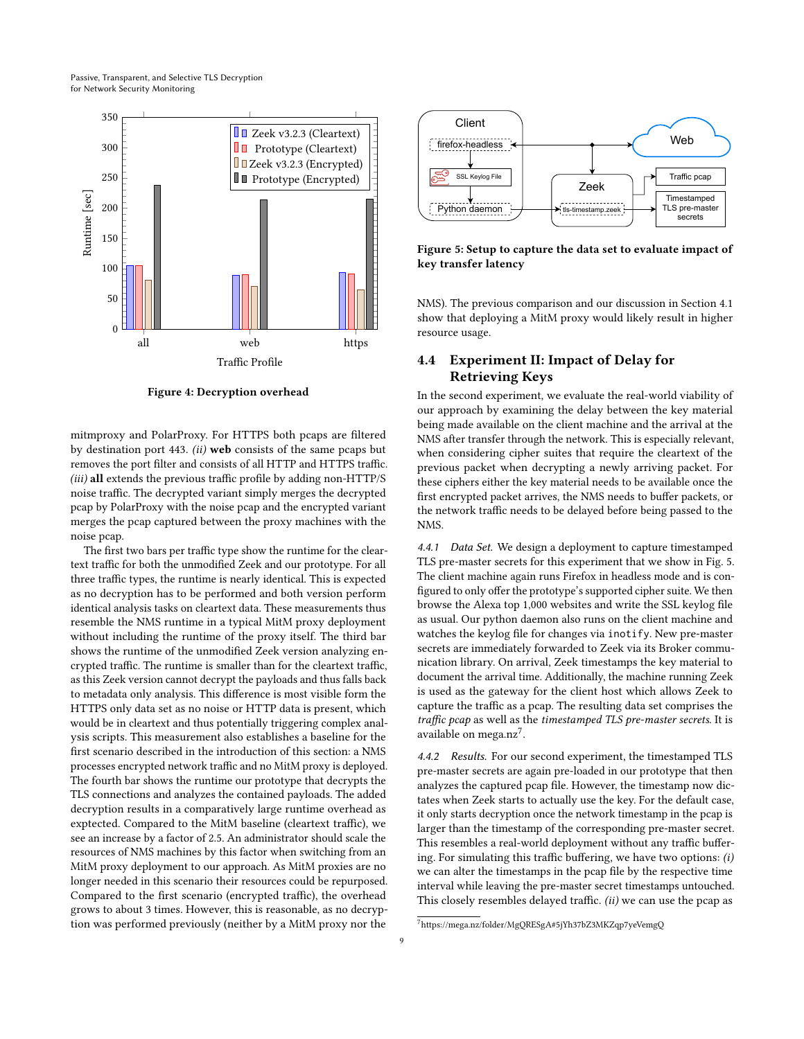<span id="page-8-1"></span>

Figure 4: Decryption overhead

mitmproxy and PolarProxy. For HTTPS both pcaps are filtered by destination port 443.  $(ii)$  web consists of the same pcaps but removes the port filter and consists of all HTTP and HTTPS traffic. (iii) all extends the previous traffic profile by adding non-HTTP/S noise traffic. The decrypted variant simply merges the decrypted pcap by PolarProxy with the noise pcap and the encrypted variant merges the pcap captured between the proxy machines with the noise pcap.

The first two bars per traffic type show the runtime for the cleartext traffic for both the unmodified Zeek and our prototype. For all three traffic types, the runtime is nearly identical. This is expected as no decryption has to be performed and both version perform identical analysis tasks on cleartext data. These measurements thus resemble the NMS runtime in a typical MitM proxy deployment without including the runtime of the proxy itself. The third bar shows the runtime of the unmodified Zeek version analyzing encrypted traffic. The runtime is smaller than for the cleartext traffic, as this Zeek version cannot decrypt the payloads and thus falls back to metadata only analysis. This difference is most visible form the HTTPS only data set as no noise or HTTP data is present, which would be in cleartext and thus potentially triggering complex analysis scripts. This measurement also establishes a baseline for the first scenario described in the introduction of this section: a NMS processes encrypted network traffic and no MitM proxy is deployed. The fourth bar shows the runtime our prototype that decrypts the TLS connections and analyzes the contained payloads. The added decryption results in a comparatively large runtime overhead as exptected. Compared to the MitM baseline (cleartext traffic), we see an increase by a factor of 2.5. An administrator should scale the resources of NMS machines by this factor when switching from an MitM proxy deployment to our approach. As MitM proxies are no longer needed in this scenario their resources could be repurposed. Compared to the first scenario (encrypted traffic), the overhead grows to about 3 times. However, this is reasonable, as no decryption was performed previously (neither by a MitM proxy nor the

<span id="page-8-2"></span>

Figure 5: Setup to capture the data set to evaluate impact of key transfer latency

NMS). The previous comparison and our discussion in [Section 4.1](#page-5-2) show that deploying a MitM proxy would likely result in higher resource usage.

# <span id="page-8-0"></span>4.4 Experiment II: Impact of Delay for Retrieving Keys

In the second experiment, we evaluate the real-world viability of our approach by examining the delay between the key material being made available on the client machine and the arrival at the NMS after transfer through the network. This is especially relevant, when considering cipher suites that require the cleartext of the previous packet when decrypting a newly arriving packet. For these ciphers either the key material needs to be available once the first encrypted packet arrives, the NMS needs to buffer packets, or the network traffic needs to be delayed before being passed to the NMS.

4.4.1 Data Set. We design a deployment to capture timestamped TLS pre-master secrets for this experiment that we show in [Fig. 5.](#page-8-2) The client machine again runs Firefox in headless mode and is configured to only offer the prototype's supported cipher suite. We then browse the Alexa top 1,000 websites and write the SSL keylog file as usual. Our python daemon also runs on the client machine and watches the keylog file for changes via inotify. New pre-master secrets are immediately forwarded to Zeek via its Broker communication library. On arrival, Zeek timestamps the key material to document the arrival time. Additionally, the machine running Zeek is used as the gateway for the client host which allows Zeek to capture the traffic as a pcap. The resulting data set comprises the traffic pcap as well as the timestamped TLS pre-master secrets. It is available on mega.nz<sup>[7](#page-8-3)</sup>.

4.4.2 Results. For our second experiment, the timestamped TLS pre-master secrets are again pre-loaded in our prototype that then analyzes the captured pcap file. However, the timestamp now dictates when Zeek starts to actually use the key. For the default case, it only starts decryption once the network timestamp in the pcap is larger than the timestamp of the corresponding pre-master secret. This resembles a real-world deployment without any traffic buffering. For simulating this traffic buffering, we have two options: (i) we can alter the timestamps in the pcap file by the respective time interval while leaving the pre-master secret timestamps untouched. This closely resembles delayed traffic. (ii) we can use the pcap as

<span id="page-8-3"></span><sup>7</sup><https://mega.nz/folder/MgQRESgA#5jYh37bZ3MKZqp7yeVemgQ>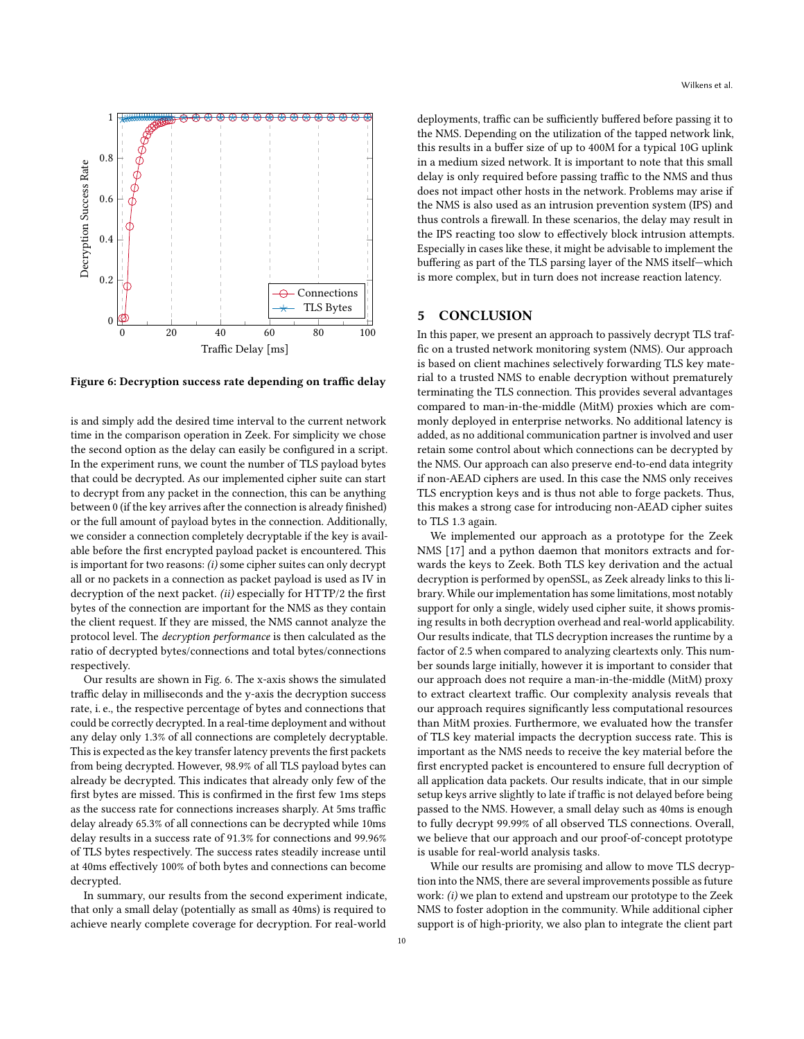<span id="page-9-1"></span>

Figure 6: Decryption success rate depending on traffic delay

is and simply add the desired time interval to the current network time in the comparison operation in Zeek. For simplicity we chose the second option as the delay can easily be configured in a script. In the experiment runs, we count the number of TLS payload bytes that could be decrypted. As our implemented cipher suite can start to decrypt from any packet in the connection, this can be anything between 0 (if the key arrives after the connection is already finished) or the full amount of payload bytes in the connection. Additionally, we consider a connection completely decryptable if the key is available before the first encrypted payload packet is encountered. This is important for two reasons: (i) some cipher suites can only decrypt all or no packets in a connection as packet payload is used as IV in decryption of the next packet. (ii) especially for HTTP/2 the first bytes of the connection are important for the NMS as they contain the client request. If they are missed, the NMS cannot analyze the protocol level. The decryption performance is then calculated as the ratio of decrypted bytes/connections and total bytes/connections respectively.

Our results are shown in [Fig. 6.](#page-9-1) The x-axis shows the simulated traffic delay in milliseconds and the y-axis the decryption success rate, i. e., the respective percentage of bytes and connections that could be correctly decrypted. In a real-time deployment and without any delay only 1.3% of all connections are completely decryptable. This is expected as the key transfer latency prevents the first packets from being decrypted. However, 98.9% of all TLS payload bytes can already be decrypted. This indicates that already only few of the first bytes are missed. This is confirmed in the first few 1ms steps as the success rate for connections increases sharply. At 5ms traffic delay already 65.3% of all connections can be decrypted while 10ms delay results in a success rate of 91.3% for connections and 99.96% of TLS bytes respectively. The success rates steadily increase until at 40ms effectively 100% of both bytes and connections can become decrypted.

In summary, our results from the second experiment indicate, that only a small delay (potentially as small as 40ms) is required to achieve nearly complete coverage for decryption. For real-world

Wilkens et al.

deployments, traffic can be sufficiently buffered before passing it to the NMS. Depending on the utilization of the tapped network link, this results in a buffer size of up to 400M for a typical 10G uplink in a medium sized network. It is important to note that this small delay is only required before passing traffic to the NMS and thus does not impact other hosts in the network. Problems may arise if the NMS is also used as an intrusion prevention system (IPS) and thus controls a firewall. In these scenarios, the delay may result in the IPS reacting too slow to effectively block intrusion attempts. Especially in cases like these, it might be advisable to implement the buffering as part of the TLS parsing layer of the NMS itself—which is more complex, but in turn does not increase reaction latency.

# <span id="page-9-0"></span>5 CONCLUSION

In this paper, we present an approach to passively decrypt TLS traffic on a trusted network monitoring system (NMS). Our approach is based on client machines selectively forwarding TLS key material to a trusted NMS to enable decryption without prematurely terminating the TLS connection. This provides several advantages compared to man-in-the-middle (MitM) proxies which are commonly deployed in enterprise networks. No additional latency is added, as no additional communication partner is involved and user retain some control about which connections can be decrypted by the NMS. Our approach can also preserve end-to-end data integrity if non-AEAD ciphers are used. In this case the NMS only receives TLS encryption keys and is thus not able to forge packets. Thus, this makes a strong case for introducing non-AEAD cipher suites to TLS 1.3 again.

We implemented our approach as a prototype for the Zeek NMS [\[17\]](#page-10-9) and a python daemon that monitors extracts and forwards the keys to Zeek. Both TLS key derivation and the actual decryption is performed by openSSL, as Zeek already links to this library. While our implementation has some limitations, most notably support for only a single, widely used cipher suite, it shows promising results in both decryption overhead and real-world applicability. Our results indicate, that TLS decryption increases the runtime by a factor of 2.5 when compared to analyzing cleartexts only. This number sounds large initially, however it is important to consider that our approach does not require a man-in-the-middle (MitM) proxy to extract cleartext traffic. Our complexity analysis reveals that our approach requires significantly less computational resources than MitM proxies. Furthermore, we evaluated how the transfer of TLS key material impacts the decryption success rate. This is important as the NMS needs to receive the key material before the first encrypted packet is encountered to ensure full decryption of all application data packets. Our results indicate, that in our simple setup keys arrive slightly to late if traffic is not delayed before being passed to the NMS. However, a small delay such as 40ms is enough to fully decrypt 99.99% of all observed TLS connections. Overall, we believe that our approach and our proof-of-concept prototype is usable for real-world analysis tasks.

While our results are promising and allow to move TLS decryption into the NMS, there are several improvements possible as future work: (i) we plan to extend and upstream our prototype to the Zeek NMS to foster adoption in the community. While additional cipher support is of high-priority, we also plan to integrate the client part